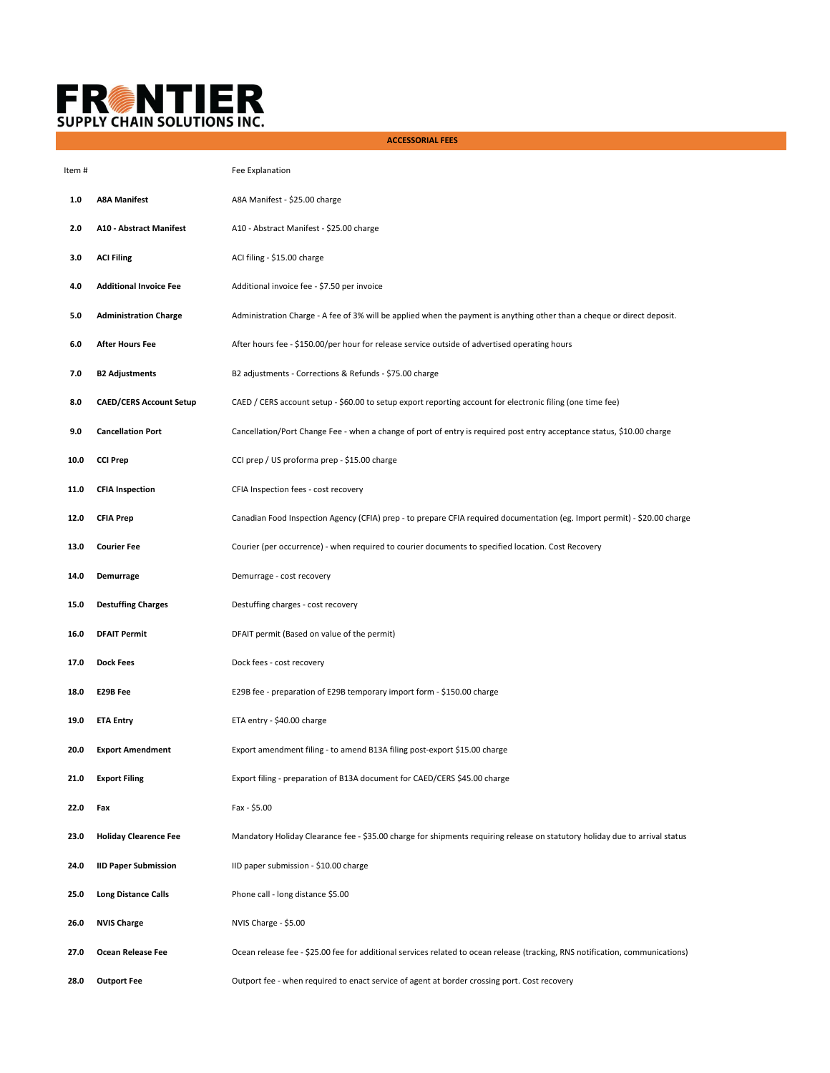

 **ACCESSORIAL FEES**

| Item # |                                | Fee Explanation                                                                                                               |
|--------|--------------------------------|-------------------------------------------------------------------------------------------------------------------------------|
| 1.0    | <b>A8A Manifest</b>            | A8A Manifest - \$25.00 charge                                                                                                 |
| 2.0    | <b>A10 - Abstract Manifest</b> | A10 - Abstract Manifest - \$25.00 charge                                                                                      |
| 3.0    | <b>ACI Filing</b>              | ACI filing - \$15.00 charge                                                                                                   |
| 4.0    | <b>Additional Invoice Fee</b>  | Additional invoice fee - \$7.50 per invoice                                                                                   |
| 5.0    | <b>Administration Charge</b>   | Administration Charge - A fee of 3% will be applied when the payment is anything other than a cheque or direct deposit.       |
| 6.0    | <b>After Hours Fee</b>         | After hours fee - \$150.00/per hour for release service outside of advertised operating hours                                 |
| 7.0    | <b>B2 Adjustments</b>          | B2 adjustments - Corrections & Refunds - \$75.00 charge                                                                       |
| 8.0    | <b>CAED/CERS Account Setup</b> | CAED / CERS account setup - \$60.00 to setup export reporting account for electronic filing (one time fee)                    |
| 9.0    | <b>Cancellation Port</b>       | Cancellation/Port Change Fee - when a change of port of entry is required post entry acceptance status, \$10.00 charge        |
| 10.0   | <b>CCI Prep</b>                | CCI prep / US proforma prep - \$15.00 charge                                                                                  |
| 11.0   | <b>CFIA Inspection</b>         | CFIA Inspection fees - cost recovery                                                                                          |
| 12.0   | <b>CFIA Prep</b>               | Canadian Food Inspection Agency (CFIA) prep - to prepare CFIA required documentation (eg. Import permit) - \$20.00 charge     |
| 13.0   | <b>Courier Fee</b>             | Courier (per occurrence) - when required to courier documents to specified location. Cost Recovery                            |
| 14.0   | Demurrage                      | Demurrage - cost recovery                                                                                                     |
| 15.0   | <b>Destuffing Charges</b>      | Destuffing charges - cost recovery                                                                                            |
| 16.0   | <b>DFAIT Permit</b>            | DFAIT permit (Based on value of the permit)                                                                                   |
| 17.0   | <b>Dock Fees</b>               | Dock fees - cost recovery                                                                                                     |
| 18.0   | E29B Fee                       | E29B fee - preparation of E29B temporary import form - \$150.00 charge                                                        |
| 19.0   | <b>ETA Entry</b>               | ETA entry - \$40.00 charge                                                                                                    |
| 20.0   | <b>Export Amendment</b>        | Export amendment filing - to amend B13A filing post-export \$15.00 charge                                                     |
| 21.0   | <b>Export Filing</b>           | Export filing - preparation of B13A document for CAED/CERS \$45.00 charge                                                     |
| 22.0   | Fax                            | Fax - \$5.00                                                                                                                  |
| 23.0   | <b>Holiday Clearence Fee</b>   | Mandatory Holiday Clearance fee - \$35.00 charge for shipments requiring release on statutory holiday due to arrival status   |
| 24.0   | <b>IID Paper Submission</b>    | IID paper submission - \$10.00 charge                                                                                         |
| 25.0   | <b>Long Distance Calls</b>     | Phone call - long distance \$5.00                                                                                             |
| 26.0   | <b>NVIS Charge</b>             | NVIS Charge - \$5.00                                                                                                          |
| 27.0   | Ocean Release Fee              | Ocean release fee - \$25.00 fee for additional services related to ocean release (tracking, RNS notification, communications) |
| 28.0   | <b>Outport Fee</b>             | Outport fee - when required to enact service of agent at border crossing port. Cost recovery                                  |